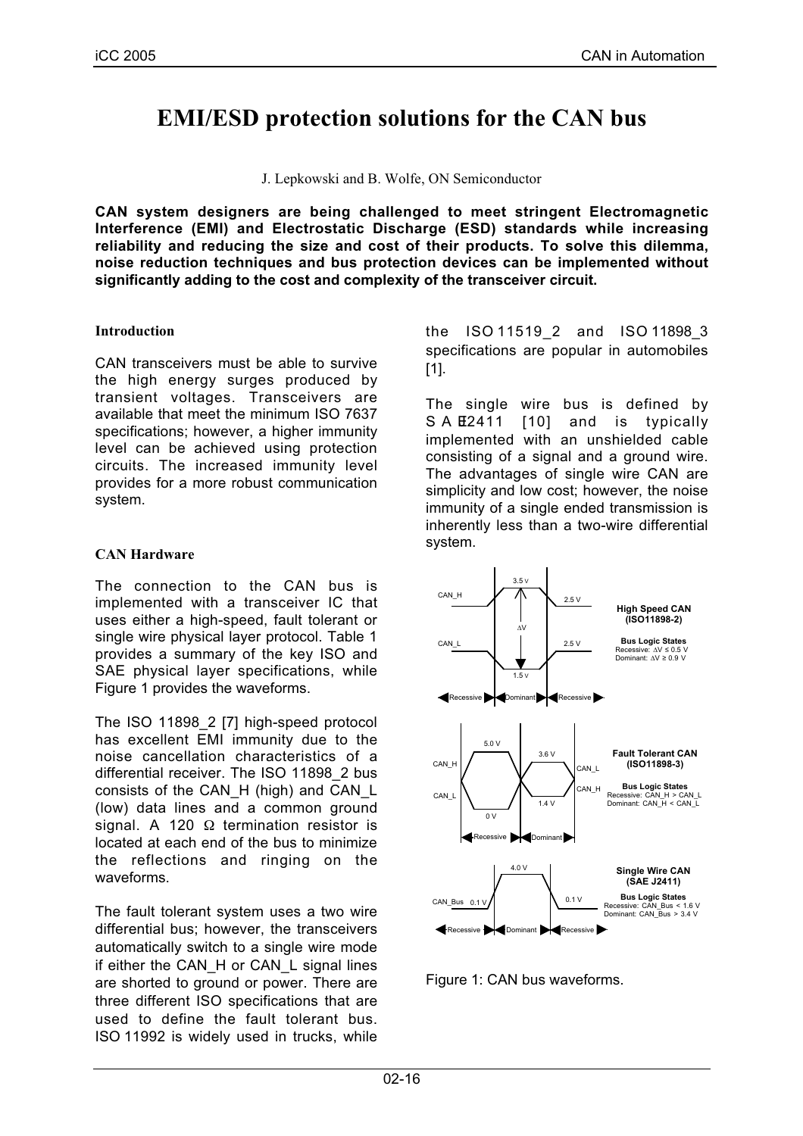# **EMI/ESD protection solutions for the CAN bus**

J. Lepkowski and B. Wolfe, ON Semiconductor

**CAN system designers are being challenged to meet stringent Electromagnetic Interference (EMI) and Electrostatic Discharge (ESD) standards while increasing reliability and reducing the size and cost of their products. To solve this dilemma, noise reduction techniques and bus protection devices can be implemented without significantly adding to the cost and complexity of the transceiver circuit.**

#### **Introduction**

CAN transceivers must be able to survive the high energy surges produced by transient voltages. Transceivers are available that meet the minimum ISO 7637 specifications; however, a higher immunity level can be achieved using protection circuits. The increased immunity level provides for a more robust communication system.

#### **CAN Hardware**

The connection to the CAN bus is implemented with a transceiver IC that uses either a high-speed, fault tolerant or single wire physical layer protocol. Table 1 provides a summary of the key ISO and SAE physical layer specifications, while Figure 1 provides the waveforms.

The ISO 11898\_2 [7] high-speed protocol has excellent EMI immunity due to the noise cancellation characteristics of a differential receiver. The ISO 11898\_2 bus consists of the CAN\_H (high) and CAN\_L (low) data lines and a common ground signal. A 120  $\Omega$  termination resistor is located at each end of the bus to minimize the reflections and ringing on the waveforms.

The fault tolerant system uses a two wire differential bus; however, the transceivers automatically switch to a single wire mode if either the CAN\_H or CAN\_L signal lines are shorted to ground or power. There are three different ISO specifications that are used to define the fault tolerant bus. ISO 11992 is widely used in trucks, while the ISO 11519\_2 and ISO 11898\_3 specifications are popular in automobiles [1].

The single wire bus is defined by S A E2411 [10] and is typically implemented with an unshielded cable consisting of a signal and a ground wire. The advantages of single wire CAN are simplicity and low cost; however, the noise immunity of a single ended transmission is inherently less than a two-wire differential system.



Figure 1: CAN bus waveforms.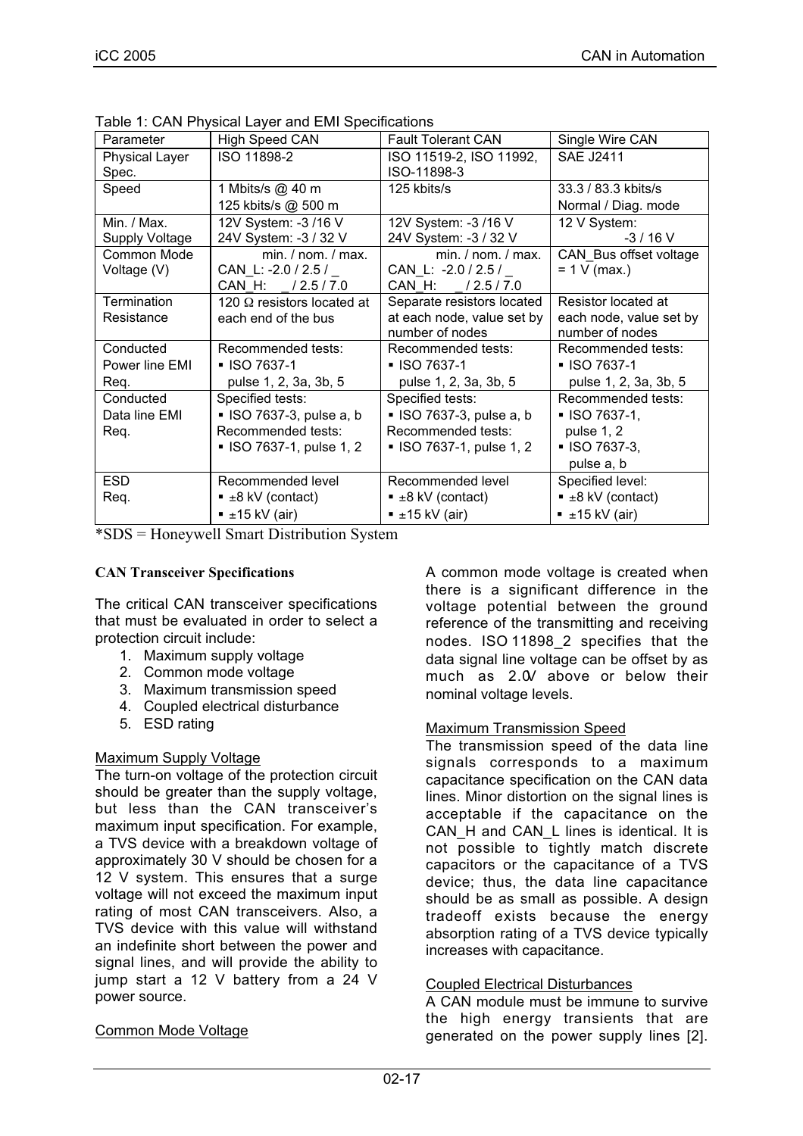| Parameter             | <b>High Speed CAN</b>             | <b>Fault Tolerant CAN</b>      | Single Wire CAN                |
|-----------------------|-----------------------------------|--------------------------------|--------------------------------|
| <b>Physical Layer</b> | ISO 11898-2                       | ISO 11519-2, ISO 11992,        | <b>SAE J2411</b>               |
| Spec.                 |                                   | ISO-11898-3                    |                                |
| Speed                 | 1 Mbits/s @ 40 m                  | 125 kbits/s                    | 33.3 / 83.3 kbits/s            |
|                       | 125 kbits/s @ 500 m               |                                | Normal / Diag. mode            |
| Min. / Max.           | 12V System: -3 /16 V              | 12V System: -3 /16 V           | 12 V System:                   |
| <b>Supply Voltage</b> | 24V System: -3 / 32 V             | 24V System: -3 / 32 V          | $-3/16$ V                      |
| Common Mode           | min. / nom. / max.                | min. / nom. / max.             | CAN Bus offset voltage         |
| Voltage (V)           | CAN_L: -2.0 / 2.5 /               | CAN L: -2.0 / 2.5 /            | $= 1 V (max.)$                 |
|                       | CAN H: /2.5/7.0                   | CAN H:<br>/2.5/7.0             |                                |
| Termination           | 120 $\Omega$ resistors located at | Separate resistors located     | Resistor located at            |
| Resistance            | each end of the bus               | at each node, value set by     | each node, value set by        |
|                       |                                   | number of nodes                | number of nodes                |
| Conducted             | Recommended tests:                | Recommended tests:             | Recommended tests:             |
| Power line EMI        | ■ ISO 7637-1                      | ■ ISO 7637-1                   | ■ ISO 7637-1                   |
| Req.                  | pulse 1, 2, 3a, 3b, 5             | pulse 1, 2, 3a, 3b, 5          | pulse 1, 2, 3a, 3b, 5          |
| Conducted             | Specified tests:                  | Specified tests:               | Recommended tests:             |
| Data line EMI         | · ISO 7637-3, pulse a, b          | • ISO 7637-3, pulse a, b       | ■ ISO 7637-1,                  |
| Req.                  | Recommended tests:                | Recommended tests:             | pulse 1, 2                     |
|                       | • ISO 7637-1, pulse 1, 2          | • ISO 7637-1, pulse 1, 2       | ■ ISO 7637-3,                  |
|                       |                                   |                                | pulse a, b                     |
| <b>ESD</b>            | Recommended level                 | Recommended level              | Specified level:               |
| Req.                  | $\blacksquare$ ±8 kV (contact)    | $\blacksquare$ ±8 kV (contact) | $\blacksquare$ ±8 kV (contact) |
|                       | $\bullet$ ±15 kV (air)            | $\bullet$ ±15 kV (air)         | $\bullet$ ±15 kV (air)         |

| Table 1: CAN Physical Layer and EMI Specifications |  |
|----------------------------------------------------|--|
|----------------------------------------------------|--|

\*SDS = Honeywell Smart Distribution System

### **CAN Transceiver Specifications**

The critical CAN transceiver specifications that must be evaluated in order to select a protection circuit include:

- 1. Maximum supply voltage
- 2. Common mode voltage
- 3. Maximum transmission speed
- 4. Coupled electrical disturbance
- 5. ESD rating

## Maximum Supply Voltage

The turn-on voltage of the protection circuit should be greater than the supply voltage, but less than the CAN transceiver's maximum input specification. For example, a TVS device with a breakdown voltage of approximately 30 V should be chosen for a 12 V system. This ensures that a surge voltage will not exceed the maximum input rating of most CAN transceivers. Also, a TVS device with this value will withstand an indefinite short between the power and signal lines, and will provide the ability to jump start a 12 V battery from a 24 V power source.

## Common Mode Voltage

A common mode voltage is created when there is a significant difference in the voltage potential between the ground reference of the transmitting and receiving nodes. ISO 11898\_2 specifies that the data signal line voltage can be offset by as much as 2.0V above or below their nominal voltage levels.

#### Maximum Transmission Speed

The transmission speed of the data line signals corresponds to a maximum capacitance specification on the CAN data lines. Minor distortion on the signal lines is acceptable if the capacitance on the CAN\_H and CAN\_L lines is identical. It is not possible to tightly match discrete capacitors or the capacitance of a TVS device; thus, the data line capacitance should be as small as possible. A design tradeoff exists because the energy absorption rating of a TVS device typically increases with capacitance.

#### Coupled Electrical Disturbances

A CAN module must be immune to survive the high energy transients that are generated on the power supply lines [2].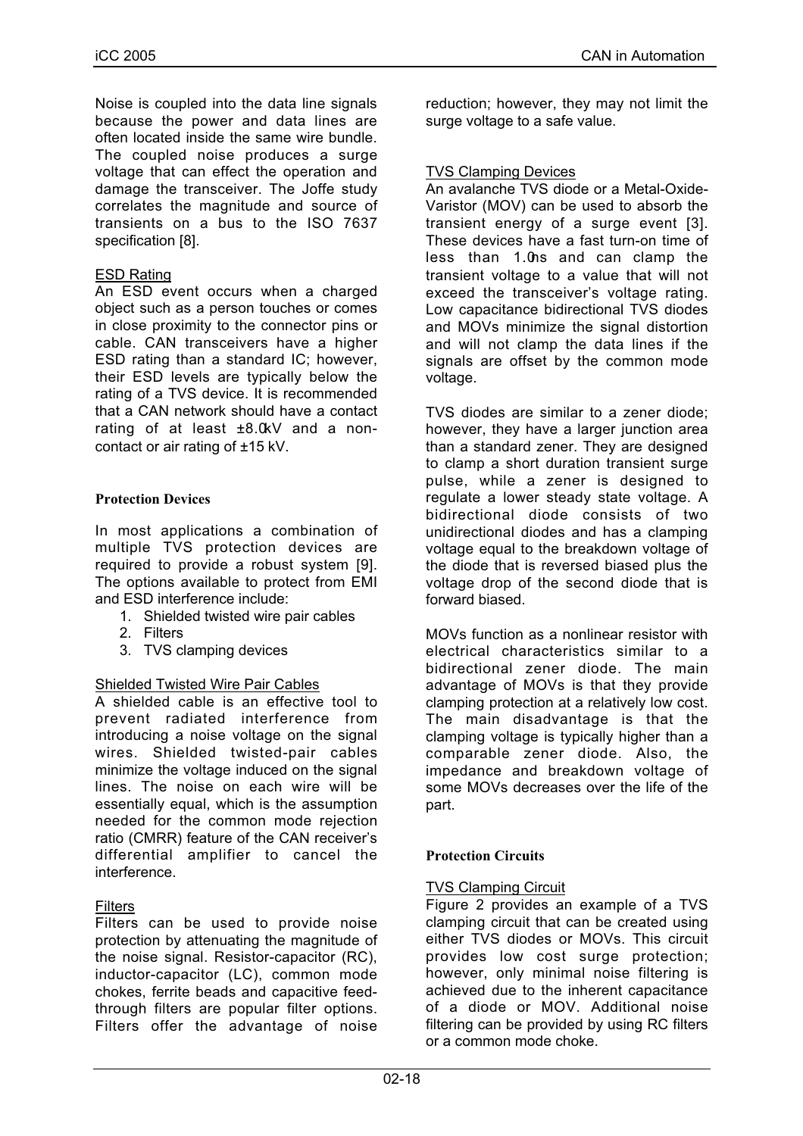Noise is coupled into the data line signals because the power and data lines are often located inside the same wire bundle. The coupled noise produces a surge voltage that can effect the operation and damage the transceiver. The Joffe study correlates the magnitude and source of transients on a bus to the ISO 7637 specification [8].

#### ESD Rating

An ESD event occurs when a charged object such as a person touches or comes in close proximity to the connector pins or cable. CAN transceivers have a higher ESD rating than a standard IC; however, their ESD levels are typically below the rating of a TVS device. It is recommended that a CAN network should have a contact rating of at least ±8.0kV and a noncontact or air rating of ±15 kV.

#### **Protection Devices**

In most applications a combination of multiple TVS protection devices are required to provide a robust system [9]. The options available to protect from EMI and ESD interference include:

- 1. Shielded twisted wire pair cables
- 2. Filters
- 3. TVS clamping devices

#### Shielded Twisted Wire Pair Cables

A shielded cable is an effective tool to prevent radiated interference from introducing a noise voltage on the signal wires. Shielded twisted-pair cables minimize the voltage induced on the signal lines. The noise on each wire will be essentially equal, which is the assumption needed for the common mode rejection ratio (CMRR) feature of the CAN receiver's differential amplifier to cancel the interference.

#### **Filters**

Filters can be used to provide noise protection by attenuating the magnitude of the noise signal. Resistor-capacitor (RC), inductor-capacitor (LC), common mode chokes, ferrite beads and capacitive feedthrough filters are popular filter options. Filters offer the advantage of noise

reduction; however, they may not limit the surge voltage to a safe value.

#### TVS Clamping Devices

An avalanche TVS diode or a Metal-Oxide-Varistor (MOV) can be used to absorb the transient energy of a surge event [3]. These devices have a fast turn-on time of less than 1.0ns and can clamp the transient voltage to a value that will not exceed the transceiver's voltage rating. Low capacitance bidirectional TVS diodes and MOVs minimize the signal distortion and will not clamp the data lines if the signals are offset by the common mode voltage.

TVS diodes are similar to a zener diode; however, they have a larger junction area than a standard zener. They are designed to clamp a short duration transient surge pulse, while a zener is designed to regulate a lower steady state voltage. A bidirectional diode consists of two unidirectional diodes and has a clamping voltage equal to the breakdown voltage of the diode that is reversed biased plus the voltage drop of the second diode that is forward biased.

MOVs function as a nonlinear resistor with electrical characteristics similar to a bidirectional zener diode. The main advantage of MOVs is that they provide clamping protection at a relatively low cost. The main disadvantage is that the clamping voltage is typically higher than a comparable zener diode. Also, the impedance and breakdown voltage of some MOVs decreases over the life of the part.

#### **Protection Circuits**

#### TVS Clamping Circuit

Figure 2 provides an example of a TVS clamping circuit that can be created using either TVS diodes or MOVs. This circuit provides low cost surge protection; however, only minimal noise filtering is achieved due to the inherent capacitance of a diode or MOV. Additional noise filtering can be provided by using RC filters or a common mode choke.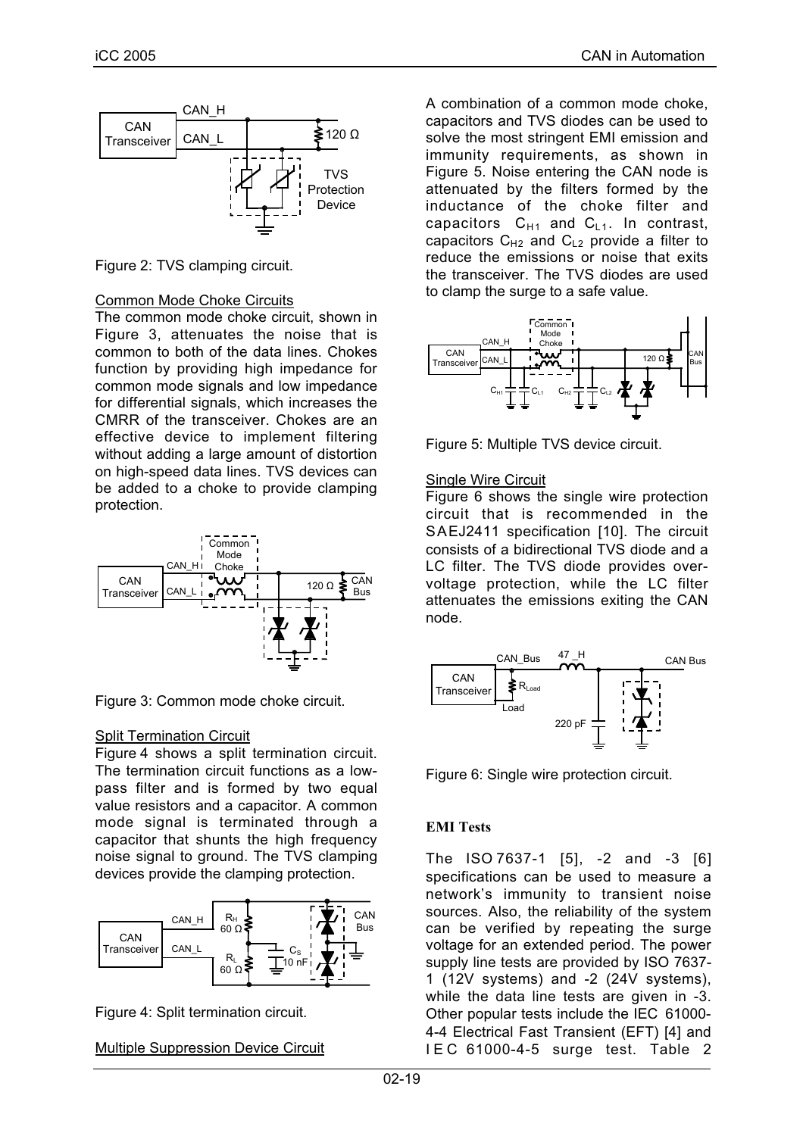

Figure 2: TVS clamping circuit.

#### Common Mode Choke Circuits

The common mode choke circuit, shown in Figure 3, attenuates the noise that is common to both of the data lines. Chokes function by providing high impedance for common mode signals and low impedance for differential signals, which increases the CMRR of the transceiver. Chokes are an effective device to implement filtering without adding a large amount of distortion on high-speed data lines. TVS devices can be added to a choke to provide clamping protection.



Figure 3: Common mode choke circuit.

#### Split Termination Circuit

Figure 4 shows a split termination circuit. The termination circuit functions as a lowpass filter and is formed by two equal value resistors and a capacitor. A common mode signal is terminated through a capacitor that shunts the high frequency noise signal to ground. The TVS clamping devices provide the clamping protection.



Figure 4: Split termination circuit.

Multiple Suppression Device Circuit

A combination of a common mode choke, capacitors and TVS diodes can be used to solve the most stringent EMI emission and immunity requirements, as shown in Figure 5. Noise entering the CAN node is attenuated by the filters formed by the inductance of the choke filter and capacitors  $C_{H1}$  and  $C_{L1}$ . In contrast, capacitors  $C_{H2}$  and  $C_{L2}$  provide a filter to reduce the emissions or noise that exits the transceiver. The TVS diodes are used to clamp the surge to a safe value.



Figure 5: Multiple TVS device circuit.

#### Single Wire Circuit

Figure 6 shows the single wire protection circuit that is recommended in the SAEJ2411 specification [10]. The circuit consists of a bidirectional TVS diode and a LC filter. The TVS diode provides overvoltage protection, while the LC filter attenuates the emissions exiting the CAN node.



Figure 6: Single wire protection circuit.

## **EMI Tests**

The ISO 7637-1 [5], -2 and -3 [6] specifications can be used to measure a network's immunity to transient noise sources. Also, the reliability of the system can be verified by repeating the surge voltage for an extended period. The power supply line tests are provided by ISO 7637- 1 (12V systems) and -2 (24V systems), while the data line tests are given in -3. Other popular tests include the IEC 61000- 4-4 Electrical Fast Transient (EFT) [4] and IEC 61000-4-5 surge test. Table 2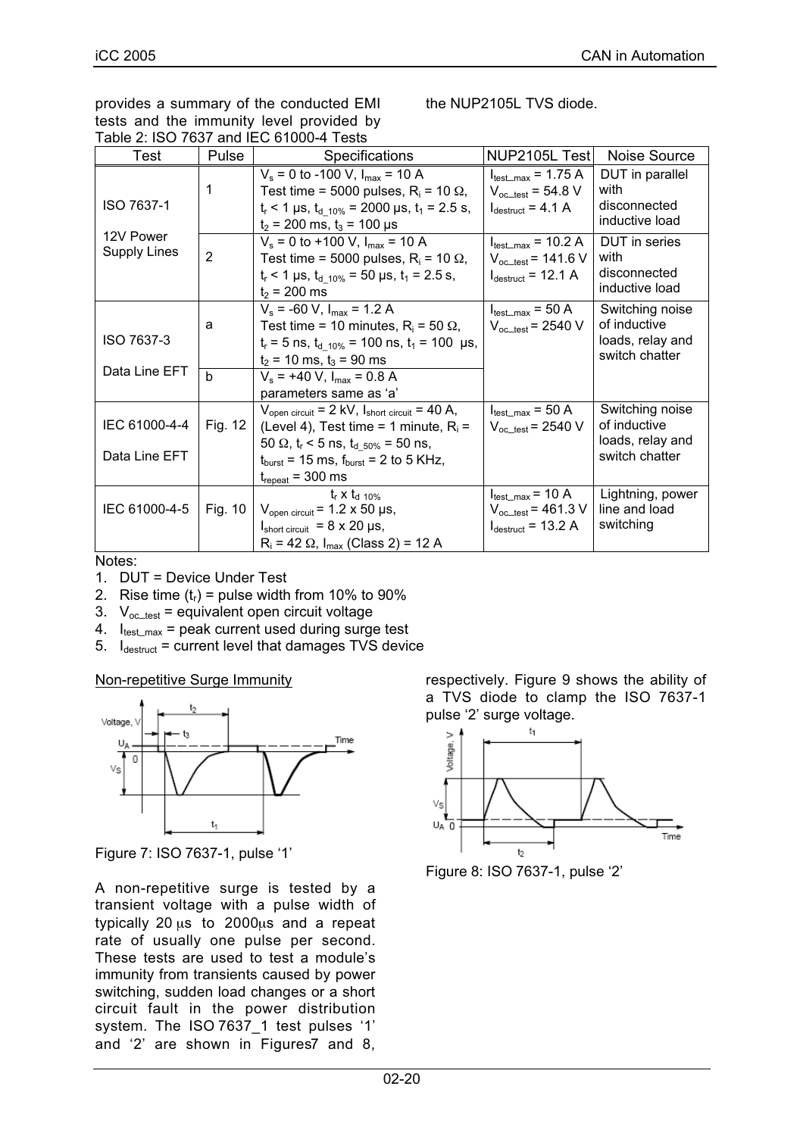provides a summary of the conducted EMI tests and the immunity level provided by Table 2: ISO 7637 and IEC 61000-4 Tests

the NUP2105L TVS diode.

| Test                             | Pulse             | <b>Specifications</b>                                                                                                                                                                                                                               | NUP2105L Test                                                                                 | Noise Source                                                          |
|----------------------------------|-------------------|-----------------------------------------------------------------------------------------------------------------------------------------------------------------------------------------------------------------------------------------------------|-----------------------------------------------------------------------------------------------|-----------------------------------------------------------------------|
| ISO 7637-1                       | 1                 | $V_s$ = 0 to -100 V, $I_{max}$ = 10 A<br>Test time = 5000 pulses, $R_i$ = 10 $\Omega$ ,<br>$t_r$ < 1 µs, $t_{d-10\%}$ = 2000 µs, $t_1$ = 2.5 s,<br>$t_2$ = 200 ms, $t_3$ = 100 µs                                                                   | $I_{\text{test\_max}}$ = 1.75 A<br>$V_{oc\_test}$ = 54.8 V<br>$I_{\text{destruct}}$ = 4.1 A   | DUT in parallel<br>with<br>disconnected<br>inductive load             |
| 12V Power<br><b>Supply Lines</b> | $\overline{2}$    | $V_s = 0$ to +100 V, $I_{max} = 10$ A<br>Test time = 5000 pulses, $R_i$ = 10 $\Omega$ ,<br>$t_r$ < 1 µs, $t_{d-10\%}$ = 50 µs, $t_1$ = 2.5 s,<br>$t_2$ = 200 ms                                                                                     | $I_{\text{test\_max}}$ = 10.2 A<br>$V_{oc\_test}$ = 141.6 V<br>$I_{\text{destruct}}$ = 12.1 A | DUT in series<br>with<br>disconnected<br>inductive load               |
| ISO 7637-3<br>Data Line EFT      | a<br><sub>b</sub> | $V_s$ = -60 V, $I_{max}$ = 1.2 A<br>Test time = 10 minutes, $R_i$ = 50 $\Omega$ ,<br>$t_r = 5$ ns, $t_{d \ 10\%} = 100$ ns, $t_1 = 100$ µs,<br>$t_2$ = 10 ms, $t_3$ = 90 ms<br>$V_s$ = +40 V, $I_{max}$ = 0.8 A<br>parameters same as 'a'           | $I_{\text{test\_max}}$ = 50 A<br>$V_{oc\_test}$ = 2540 V                                      | Switching noise<br>of inductive<br>loads, relay and<br>switch chatter |
| IEC 61000-4-4<br>Data Line EFT   | Fig. 12           | $V_{open\ circuit}$ = 2 kV, $I_{short\ circuit}$ = 40 A,<br>(Level 4), Test time = 1 minute, $R_i$ =<br>50 $\Omega$ , $t_r$ < 5 ns, $t_d$ <sub>50%</sub> = 50 ns,<br>$t_{burst}$ = 15 ms, $f_{burst}$ = 2 to 5 KHz,<br>$t_{\text{repeat}}$ = 300 ms | $I_{\text{test\_max}}$ = 50 A<br>$V_{oc\_test}$ = 2540 V                                      | Switching noise<br>of inductive<br>loads, relay and<br>switch chatter |
| IEC 61000-4-5                    | Fig. 10           | $t_r \times t_{d, 10\%}$<br>$V_{open\ circuit}$ = 1.2 x 50 µs,<br>$I_{short\ circuit}$ = 8 x 20 µs,<br>$R_i = 42 \Omega$ , $I_{max}$ (Class 2) = 12 A                                                                                               | $I_{\text{test\_max}}$ = 10 A<br>$V_{oc\_test}$ = 461.3 V<br>$I_{\text{destruct}}$ = 13.2 A   | Lightning, power<br>line and load<br>switching                        |

Notes:

- 1. DUT = Device Under Test
- 2. Rise time  $(t_r)$  = pulse width from 10% to 90%
- 3.  $V_{\text{oc-test}}$  = equivalent open circuit voltage
- 4.  $I_{\text{test-max}}$  = peak current used during surge test
- 5.  $I<sub>destrut</sub> = current level that damages TVS device$

Non-repetitive Surge Immunity



Figure 7: ISO 7637-1, pulse '1'

A non-repetitive surge is tested by a transient voltage with a pulse width of typically 20 µs to 2000µs and a repeat rate of usually one pulse per second. These tests are used to test a module's immunity from transients caused by power switching, sudden load changes or a short circuit fault in the power distribution system. The ISO 7637\_1 test pulses '1' and '2' are shown in Figures7 and 8,

respectively. Figure 9 shows the ability of a TVS diode to clamp the ISO 7637-1 pulse '2' surge voltage.



Figure 8: ISO 7637-1, pulse '2'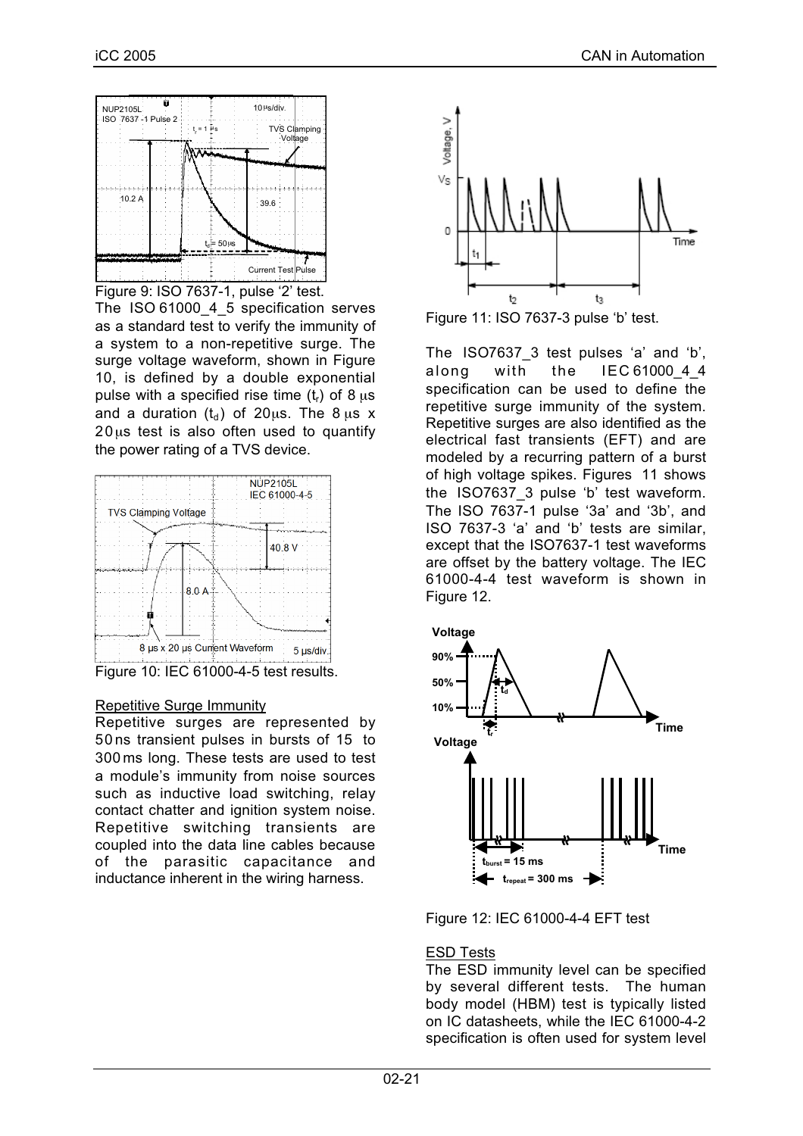

Figure 9: ISO 7637-1, pulse '2' test.

The ISO 61000 4 5 specification serves as a standard test to verify the immunity of a system to a non-repetitive surge. The surge voltage waveform, shown in Figure 10, is defined by a double exponential pulse with a specified rise time  $(t_r)$  of 8  $\mu$ s and a duration  $(t_d)$  of 20 $\mu$ s. The 8  $\mu$ s x  $20 \mu s$  test is also often used to quantify the power rating of a TVS device.



Figure 10: IEC 61000-4-5 test results.

#### Repetitive Surge Immunity

Repetitive surges are represented by 50 ns transient pulses in bursts of 15 to 300 ms long. These tests are used to test a module's immunity from noise sources such as inductive load switching, relay contact chatter and ignition system noise. Repetitive switching transients are coupled into the data line cables because of the parasitic capacitance and inductance inherent in the wiring harness.



Figure 11: ISO 7637-3 pulse 'b' test.

The ISO7637\_3 test pulses 'a' and 'b', along with the IEC 61000 4 4 specification can be used to define the repetitive surge immunity of the system. Repetitive surges are also identified as the electrical fast transients (EFT) and are modeled by a recurring pattern of a burst of high voltage spikes. Figures 11 shows the ISO7637\_3 pulse 'b' test waveform. The ISO 7637-1 pulse '3a' and '3b', and ISO 7637-3 'a' and 'b' tests are similar, except that the ISO7637-1 test waveforms are offset by the battery voltage. The IEC 61000-4-4 test waveform is shown in Figure 12.



Figure 12: IEC 61000-4-4 EFT test

#### ESD Tests

The ESD immunity level can be specified by several different tests. The human body model (HBM) test is typically listed on IC datasheets, while the IEC 61000-4-2 specification is often used for system level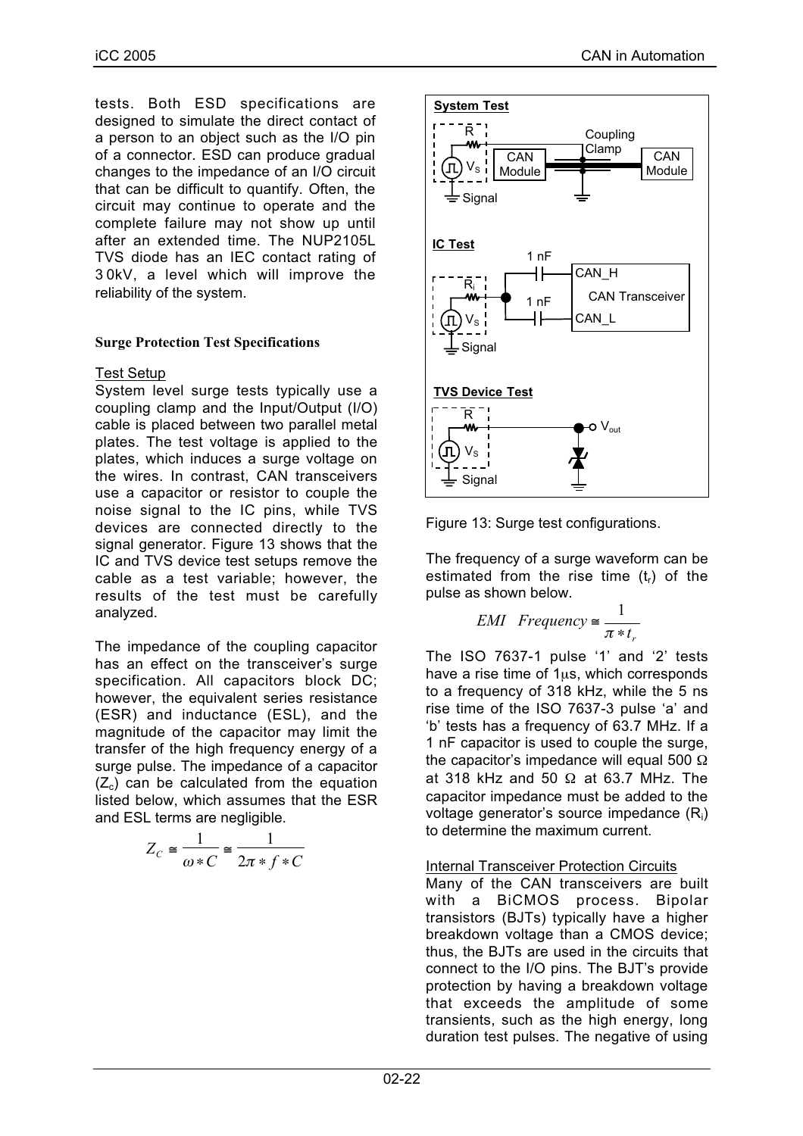iCC 2005 CAN in Automation CAN in Automation

tests. Both ESD specifications are designed to simulate the direct contact of a person to an object such as the I/O pin of a connector. ESD can produce gradual changes to the impedance of an I/O circuit that can be difficult to quantify. Often, the circuit may continue to operate and the complete failure may not show up until after an extended time. The NUP2105L TVS diode has an IEC contact rating of 3 0kV, a level which will improve the reliability of the system.

#### **Surge Protection Test Specifications**

#### Test Setup

System level surge tests typically use a coupling clamp and the Input/Output (I/O) cable is placed between two parallel metal plates. The test voltage is applied to the plates, which induces a surge voltage on the wires. In contrast, CAN transceivers use a capacitor or resistor to couple the noise signal to the IC pins, while TVS devices are connected directly to the signal generator. Figure 13 shows that the IC and TVS device test setups remove the cable as a test variable; however, the results of the test must be carefully analyzed.

The impedance of the coupling capacitor has an effect on the transceiver's surge specification. All capacitors block DC; however, the equivalent series resistance (ESR) and inductance (ESL), and the magnitude of the capacitor may limit the transfer of the high frequency energy of a surge pulse. The impedance of a capacitor  $(Z_c)$  can be calculated from the equation listed below, which assumes that the ESR and ESL terms are negligible.

$$
Z_C \cong \frac{1}{\omega * C} \cong \frac{1}{2\pi * f * C}
$$



Figure 13: Surge test configurations.

The frequency of a surge waveform can be estimated from the rise time  $(t_r)$  of the pulse as shown below.

$$
EMI
$$
 Frequency  $\cong \frac{1}{\pi * t_r}$ 

The ISO 7637-1 pulse '1' and '2' tests have a rise time of 1us, which corresponds to a frequency of 318 kHz, while the 5 ns rise time of the ISO 7637-3 pulse 'a' and 'b' tests has a frequency of 63.7 MHz. If a 1 nF capacitor is used to couple the surge, the capacitor's impedance will equal 500  $Ω$ at 318 kHz and 50  $\Omega$  at 63.7 MHz. The capacitor impedance must be added to the voltage generator's source impedance (Ri) to determine the maximum current.

#### Internal Transceiver Protection Circuits

Many of the CAN transceivers are built with a BiCMOS process. Bipolar transistors (BJTs) typically have a higher breakdown voltage than a CMOS device; thus, the BJTs are used in the circuits that connect to the I/O pins. The BJT's provide protection by having a breakdown voltage that exceeds the amplitude of some transients, such as the high energy, long duration test pulses. The negative of using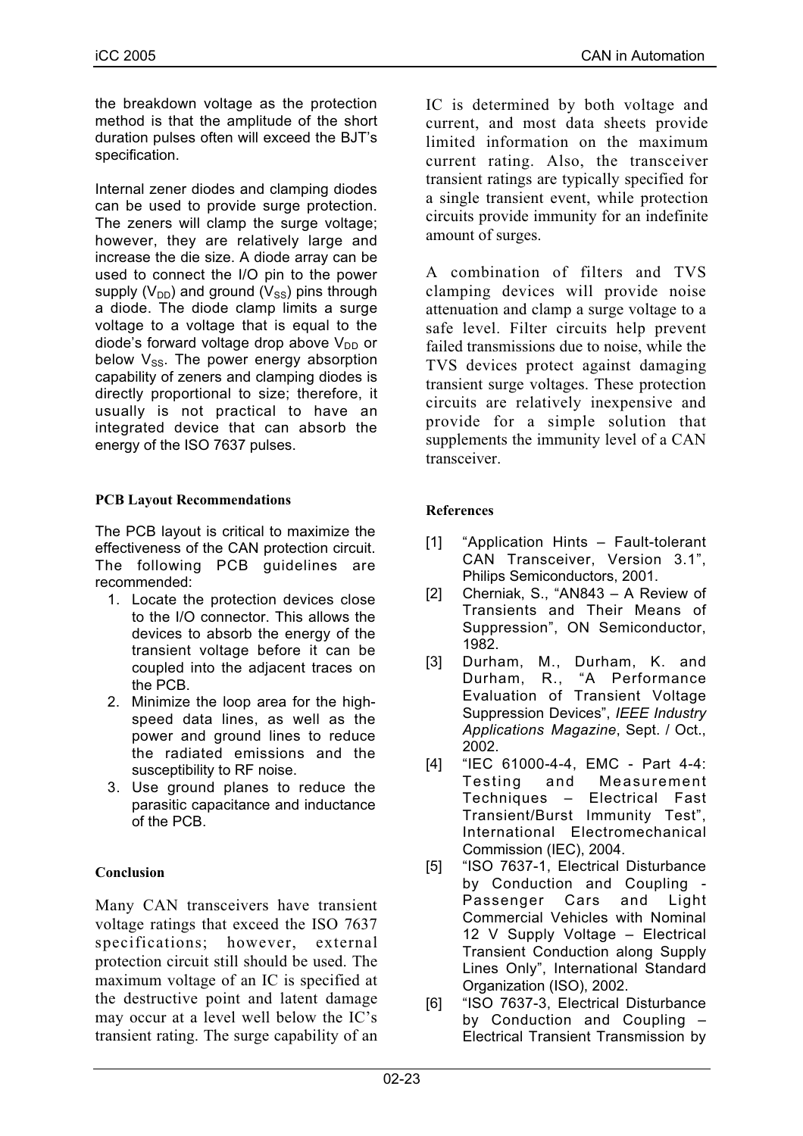the breakdown voltage as the protection method is that the amplitude of the short duration pulses often will exceed the BJT's specification.

Internal zener diodes and clamping diodes can be used to provide surge protection. The zeners will clamp the surge voltage; however, they are relatively large and increase the die size. A diode array can be used to connect the I/O pin to the power supply  $(V_{DD})$  and ground  $(V_{SS})$  pins through a diode. The diode clamp limits a surge voltage to a voltage that is equal to the diode's forward voltage drop above  $V_{DD}$  or below  $V_{SS}$ . The power energy absorption capability of zeners and clamping diodes is directly proportional to size; therefore, it usually is not practical to have an integrated device that can absorb the energy of the ISO 7637 pulses.

## **PCB Layout Recommendations**

The PCB layout is critical to maximize the effectiveness of the CAN protection circuit. The following PCB guidelines are recommended:

- 1. Locate the protection devices close to the I/O connector. This allows the devices to absorb the energy of the transient voltage before it can be coupled into the adjacent traces on the PCB.
- 2. Minimize the loop area for the highspeed data lines, as well as the power and ground lines to reduce the radiated emissions and the susceptibility to RF noise.
- 3. Use ground planes to reduce the parasitic capacitance and inductance of the PCB.

# **Conclusion**

Many CAN transceivers have transient voltage ratings that exceed the ISO 7637 specifications; however, external protection circuit still should be used. The maximum voltage of an IC is specified at the destructive point and latent damage may occur at a level well below the IC's transient rating. The surge capability of an IC is determined by both voltage and current, and most data sheets provide limited information on the maximum current rating. Also, the transceiver transient ratings are typically specified for a single transient event, while protection circuits provide immunity for an indefinite amount of surges.

A combination of filters and TVS clamping devices will provide noise attenuation and clamp a surge voltage to a safe level. Filter circuits help prevent failed transmissions due to noise, while the TVS devices protect against damaging transient surge voltages. These protection circuits are relatively inexpensive and provide for a simple solution that supplements the immunity level of a CAN transceiver.

## **References**

- [1] "Application Hints Fault-tolerant CAN Transceiver, Version 3.1", Philips Semiconductors, 2001.
- [2] Cherniak, S., "AN843 A Review of Transients and Their Means of Suppression", ON Semiconductor, 1982.
- [3] Durham, M., Durham, K. and Durham, R., "A Performance Evaluation of Transient Voltage Suppression Devices", *IEEE Industry Applications Magazine*, Sept. / Oct., 2002.
- [4] "IEC 61000-4-4, EMC Part 4-4: Testing and Measurement Techniques – Electrical Fast Transient/Burst Immunity Test", International Electromechanical Commission (IEC), 2004.
- [5] "ISO 7637-1, Electrical Disturbance by Conduction and Coupling - Passenger Cars and Light Commercial Vehicles with Nominal 12 V Supply Voltage – Electrical Transient Conduction along Supply Lines Only", International Standard Organization (ISO), 2002.
- [6] "ISO 7637-3, Electrical Disturbance by Conduction and Coupling – Electrical Transient Transmission by